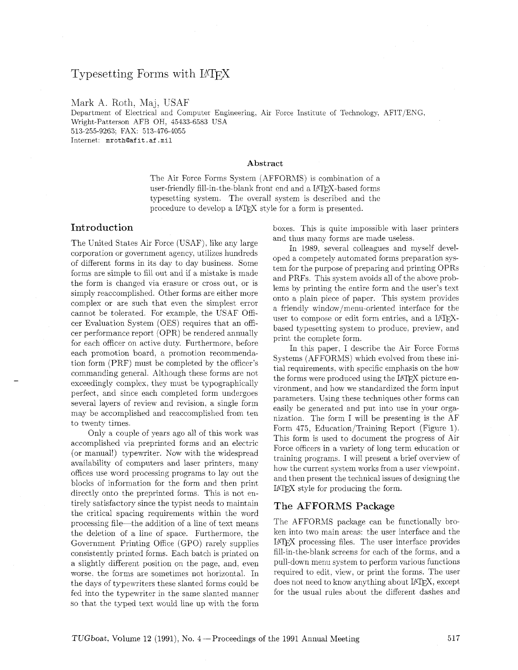# Typesetting Forms with IATFX

Mark A. Roth, Maj, USAF

Department of Electrical and Computer Engineering, Air Force Institute of Technology, AFIT/ENG, Wright-Patterson AFB OH, 45433-6583 USA 513-255-9263; FAX: 513-476-4055 Internet: **mrothQaf** it. af .mil

#### **Abstract**

The Air Force Forms System (AFFORMS) is combination of a user-friendly fill-in-the-blank front end and a LAT<sub>F</sub>X-based forms typesetting system. The overall system is described and the procedure to develop a LATEX style for a form is presented.

### Introduction

The United States Air Force (USAF), like any large corporation or government agency. utilizes hundreds of different forms in its day to day business. Some forms are simple to fill out and if a mistake is made the form is changed via erasure or cross out, or is simply reaccomplished. Other forms are either more complex or are such that even the simplest error cannot be tolerated. For example, the USAF Officer Evaluation System (OES) requires that an officer performance report (OPR) be rendered annually for each officer on active duty. Furthermore, before each promotion board, a promotion recommendation form (PRF) must be completed by the officer's commanding general. Although these forms are not exceedingly complex. they must be typographically perfect, and since each completed form undergoes several layers of review and revision. a single form may be accomplished and reaccomplished from ten to twenty times.

Only a couple of years ago all of this work was accomplished via preprinted forms and an electric (or manual!) typewriter. Now with the widespread availability of computers and laser printers, many offices use word processing programs to lay out the blocks of information for the form and then print directly onto the preprinted forms. This is not entirely satisfactory since the typist needs to maintain the critical spacing requirements within the word processing file-the addition of a line of text means the deletion of a line of space. Furthermore. the Government Printing Office (GPO) rarely supplies consistently printed forms. Each batch is printed on a slightly different position on the page, and. even worse. the forms are sometimes not horizontal. In the days of typewriters these slanted forms could be fed into the typewriter in the same slanted manner so that the typed text would line up with the form boxes. This is quite impossible with laser printers and thus many forms are made useless.

In 1989. several colleagues and myself developed a competely automated forms preparation system for the purpose of preparing and printing OPRs and PRFs. This system avoids all of the above problems by printing the entire form and the user's text onto a plain piece of paper. This system provides a friendly window/menu-oriented interface for the user to compose or edit form entries, and a LATEXbased typesetting system to produce, preview, and print the complete form.

In this paper, I describe the Air Force Forms Systems (AFFORMS) which evolved from these initial requirements, with specific emphasis on the how the forms were produced using the LAT<sub>F</sub>X picture environment, and how we standardized the form input parameters. Using these techniques other forms can easily be generated and put into use in your organization. The form I will be presenting is the AF Form 475, Education/Training Report (Figure 1). This form is used to document the progress of Air Force officers in a variety of long term education or training programs. I will present a brief overview of how the current system works from a user viewpoint. and then present the technical issues of designing the LATEX style for producing the form.

### The AFFORMS **Package**

The AFFORMS package can be functionally broken into two main areas: the user interface and the LATEX processing files. The user interface provides fill-in-the-blank screens for each of the forms, and a pull-down menu system to perform various functions required to edit, view, or print the forms. The user does not need to know anything about LATFX, except for the usual rules about the different dashes and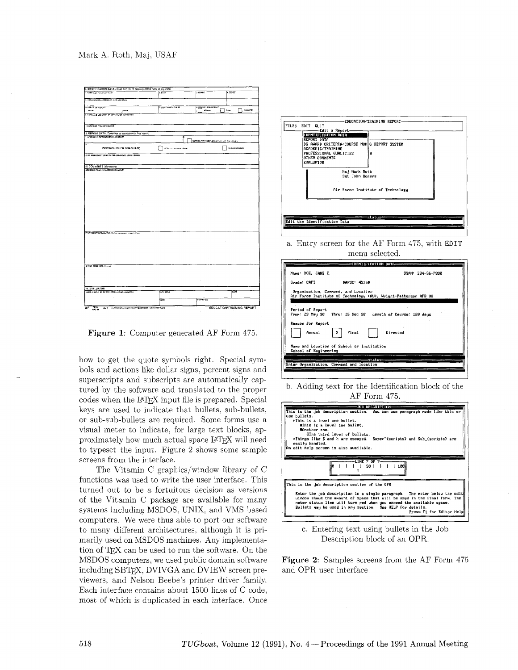

Figure 1: Computer generated AF Form 475.

how to get the quote symbols right. Special symbols and actions like dollar signs. percent signs and superscripts and subscripts are automatically captured by the software and translated to the proper codes when the LAT<sub>F</sub>X input file is prepared. Special keys are used to indicate that bullets, sub-bullets, or sub-sub-bullets are required. Some forms use a visual meter to indicate, for large text blocks, approximately how much actual space LAT<sub>EX</sub> will need to typeset the input. Figure 2 shows some sample screens from the interface.

The Vitamin C graphics/window library of C functions was used to write the user interface. This turned out to be a fortuitous decision as versions of the Vitamin C package are available for many systems including MSDOS. UNIX. and VMS based computers. We were thus able to port our software to many different architectures, although it is primarily used on MSDOS machines. Any implementation of TFX can be used to run the software. On the MSDOS computers, we used public domain software including SBTFX, DVIVGA and DVIEW screen previewers, and Nelson Beebe's printer driver family. Each interface contains about 1500 lines of C code. most of which is duplicated in each interface. Once



a. Entry screen for the AF Form 475, with EDIT menu selected.



b. Adding text for the Identification block of the AF Form 475.



c. Entering text using bullets in the Job Description block of an OPR.

Figure **2:** Samples screens from the AF Form 475 and OPR user interface.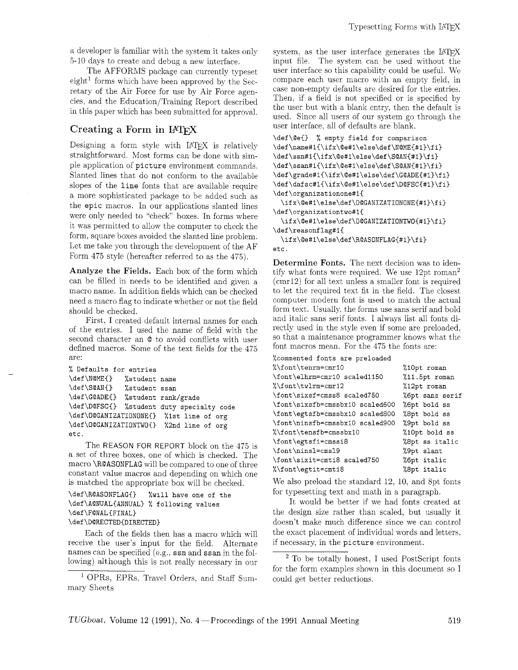a developer is familiar with the system it takes only 5-10 days to create and debug a new interface.

The AFFORMS package can currently typeset  $eight<sup>1</sup>$  forms which have been approved by the Secretary of the Air Force for use by Air Force agencies, and the Education/Training Report described in this paper which has been submitted for approval.

## Creating a Form in IATFX

Designing a form style with LATFX is relatively straightforward. Most forms can be done with simple application of **picture** environment commands. Slanted lines that do not conform to the available slopes of the **line** fonts that are available require a more sophisticated package to be added such as the **epic** macros. In our applications slanted lines were only needed to "check" boxes. In forms where it was permitted to allow the computer to check the form, square boxes avoided the slanted line problem. Let me take you through the development of the AF Form 475 style (hereafter referred to as the 475).

Analyze the Fields. Each box of the form which can be filled in needs to be identified and given a macro name. In addition fields which can be checked need a macro flag to indicate whether or not the field should be checked.

First, I created default internal names for each of the entries. I used the name of field with the second character an @ to avoid conflicts with user defined macros. Some of the text fields for the 475 are:

```
% Defaults for entries 
\def\NQMEC) %student name 
\def \S@ANCl %student ssan 
\def \G@ADEC} %student rank/grade 
\def\D@FSCC} %student duty specialty code 
\def\O@GANIZATIONONE{) %Ist line of org 
\def\OQGANIZATIONTWO{} %2nd line of org 
etc.
```
The REASON FOR REPORT block on the 475 is a set of three boxes, one of which is checked. The macro \R@ASONFLAG will be compared to one of three constant value macros and depending on which one is matched the appropriate box will be checked.

```
\def\RQASONFLAGC} %will have one of the 
\def\AQNUAL(ANNUAL) % following values 
\def\F@NAL{FINAL}
\def\DaRECTED(DIRECTED)
```
Each of the fields then has a macro which will receive the user's input for the field. Alternate names can be specified (e.g., ssn and ssan in the following) although this is not really necessary in our

<sup>1</sup> OPRs, EPRs, Travel Orders, and Staff Summary Sheets

system, as the user interface generates the  $IATFX$ input file. The system can be used without the user interface so this capability could be useful. We compare each user macro with an empty field, in case non-empty defaults are desired for the entries. Then. if a field is not specified or is specified by the user but with a blank entry, then the default is used. Since all users of our system go through the user interface, all of defaults are blank.

```
\def\@eC} % empty field for comparison 
\def\name#l{\ifx\Qe#l\else\def\NQME{#l}\fi} 
\def\ssn#l{\ifx\@e#l\else\def\S@AN~#l)\fi} 
\def\ssan#1{\ifx\@e#1\else\def\S@AN{#1}\fi}
\def\grade#1{\ifx\@e#1\else\def\G@ADE{#1}\fi}
\def\dafsc#l{\ifx\@e#l\else\def\DQFSC{#l)\fi} 
\def\organizationone#l(
```
**\ifx\Qe#l\else\def\O@GANIZATIONONE{#l)\fi} \def\organizationtwo#l{** 

**\ifx\Qe#l\else\def\O@GANIZATIONTWO{#l}\fi} \def\reasonflag#l{** 

**\ifx\@e#l\else\def\R@ASONFLAG{#l}\fi} etc.** 

Determine Fonts. The next decision was to identify what fonts were required. We use 12pt roman2 (cmr12) for all text unless a smaller font is required to let the required text fit in the field. The closest computer modern font is used to match the actual form text. Usually, the forms use sans serif and bold and italic sans serif fonts. I always list all fonts directly used in the style even if some are preloaded, so that a maintenance programmer knows what the font macros mean. For the 475 the fonts are:

```
%commented fonts are preloaded
```

| %\font\tenrm=cmr10              | %10pt roman     |
|---------------------------------|-----------------|
| \font\elhrm=cmr10 scaled1150    | %11.5pt roman   |
| %\font\twlrm=cmr12              | %12pt roman     |
| \font\sixsf=cmss8 scaled750     | %6pt sans serif |
| \font\sixsfb=cmssbx10 scaled600 | %6pt bold ss    |
| \font\egtsfb=cmssbx10 scaled800 | %8pt bold ss    |
| \font\ninsfb=cmssbx10 scaled900 | %9pt bold ss    |
| "\font\tensfb=cmssbx10"         | %10pt bold ss   |
| \font\egtsfi=cmssi8             | %8pt ss italic  |
| \font\ninsl=cmsl9               | %9pt slant      |
| \font\sixit=cmti8 scaled750     | %6pt italic     |
| %\font\egtit=cmti8              | %8pt italic     |

We also preload the standard 12, 10, and 8pt fonts for typesetting text and math in a paragraph.

It would be better if we had fonts created at the design size rather than scaled, but usually it doesn't make much difference since we can control the exact placement of individual words and letters, if necessary, in the **picture** environment.

 $2$  To be totally honest, I used PostScript fonts for the form examples shown in this document so I could get better reductions.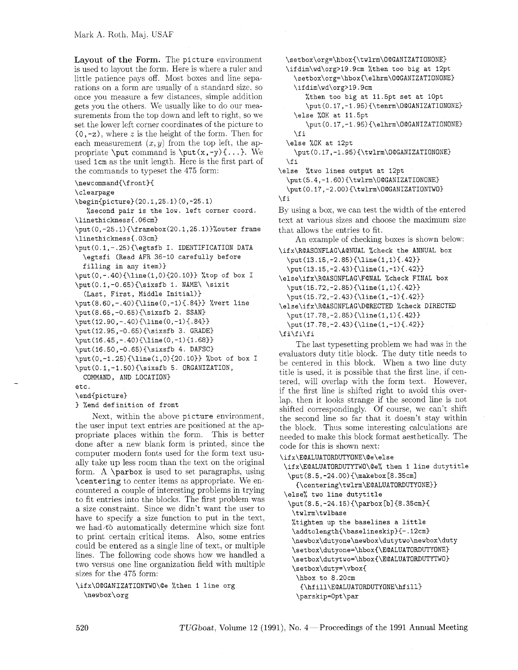**Layout of the Form.** The picture environment is used to layout the form. Here is where a ruler and little patience pays off. Most boxes and line separations on a form are usually of a standard size, so once you measure a few distances, simple addition gets you the others. We usually like to do our measurements from the top down and left to right, so we set the lower left corner coordinates of the picture to (0, -2); where *z* is the height of the form. Then for each measurement  $(x, y)$  from the top left, the appropriate  $\put$  command is  $\put$   $(x, -y)$  {...}. We used Icm as the unit length. Here is the first part of the commands to typeset the 475 form:

\newcommand{\front}{

\clearpage

**\begin(picture)(20.1,25.1)(0,-25.1)** 

% second pair is the low. left corner coord. \linethickness{.06cm}

**\put(O,-25.1)(\framebox(20.1,25.1))%outer** frame \linethickness{.03cm}

\put(O.l,-.25)(\egtsfb I. IDENTIFICATION DATA \egtsfi (Read AFR 36-10 carefully before

```
filling in any item))
```
\put(0,-.40){\line(1,0){20.10}} %top of box I \put(O.l,-0.65){\sixsfb 1. NAME\ \sixit

```
(Last, First, Middle Initial))
```
\put(8.60,-.40){\line(0,-1){.84}} %vert line

```
\put(8.65,-0.65)(\sixsfb 2. SSAN)
```
 $\put(12.90,-.40){\line(0,-1){.84}}$ **\put(12.95,-0.65){\sixsfb** 3. GRADE)

 $\put(16.45,-.40){\line(0,-1){1.68}}$ 

```
\put(16.50,-0.65){\sixsfb 4. DAFSC)
```
\put(0,-1.25){\line(1,0){20.10}} %bot of box I \put(O.l,-1.50)(\sixsfb 5. ORGANIZATION,

COMMAND, AND LOCATION)

etc.

\end(picture)

```
) %end definition of front
```
Next, within the above picture environment, the user input text entries are positioned at the appropriate places within the form. This is better done after a new blank form is printed, since the computer modern fonts used for the form text usually take up less room than the text on the original form. A \parbox is used to set paragraphs, using \centering to center items as appropriate. We encountered a couple of interesting problems in trying to fit entries into the blocks. The first problem was a size constraint. Since we didn't want the user to have to specify a size function to put in the text, we had $\infty$  automatically determine which size font to print certain critical items. Also, some entries could be entered as a single line of text, or multiple lines. The following code shows how we handled a two versus one line-organization field with multiple sizes for the 475 form:

\ifx\O@GANIZATIONTWO\@e %then **1** line org \newbox\org

\setbox\org=\hbox{\twlrm\O@GANIZATIONONE}

\ifdim\wd\org>l9.9cm %then too big at 12pt **\setbox\org=\hbox~\elhrm\O@GANIZATIONONEl**  \ifdim\wd\org>19.9cm

%then too big at 11.5pt set at 10pt **\put(0.17,-1.95){\tenrm\O@GANIZATIONONE)**  \else %OK at 11.5pt

**\put(0.17,-1.95)(\elhrm\O@GANIZATIONONE)**   $\eta$ 

\else %OK at 12pt

\put(O.l7,-1.95)(\twlrm\O@GANIZATIONONE)  $\chi$ fi

\else %two lines output at 12pt

```
\put(5.4,-l.6O){\twlrm\O@GANIZATIONONE) 
\put(0.17,-2.00)\{\t{twlrm\O}_{\tt{TATIONTWD}}\}
```
 $\chi$  i

By using a box, we can test the width of the entered text at various sizes and choose the maximum size that allows the entries to fit.

An example of checking boxes is shown below:

```
\ifx\R@ASONFLAG\AONUAL %check the ANNUAL box 
  \put(13.15,-2.85){\1ine(l,1)(.42))
```
\put(13.15,-2.43){\line(1,-1){.42}}

**\else\ifx\R@ASONFLAG\F@NAL** %check FINAL box \put (15.72, -2.85) {\line (1,1) {.42}}

\put(15.72,-2.43){\1ine(l,-1)(.42))

**\else\ifx\R@ASONFLAG\D@RECTED** %check DIRECTED \put(17.78,-2.85){\line(1,1){.42}}

```
\put(17.78,-2.43)(\1ine(l,-l)(.d2)3
```
 $\ifmmode\big\langle\ifmmode\begin{array}{c}1\else\textbf{\textit{}}\fi\fi\fi\fi\fi\fi$ 

The last typesetting problem we had was in the evaluators duty title block. The duty title needs to be centered in this block. When a two line duty title is used, it is possible that the first line, if centered, will overlap with the form text. However, if the first line is shifted right to avoid this overlap, then it looks strange if the second line is not shifted correspondingly. Of course, we can't shift the second line so far that it doesn't stay within the block. Thus some interesting calculations are needed to make this block format aesthetically. The code for this is shown next:

```
\ifx\E@ALUATORDUTYONE\Qe\else
```
**\ifx\E@ALUATORDUTYTWO\@e%** then 1 line dutytitle \put (8.5, -24.00) {\makebox [8.35cm]

```
(\centering\twlrm\EOALUATORDUTYONE))
```
\else% two line dutytitle

\put (8.5, -24.15) {\parbox [b] {8.35cm} { \twlrm\twlbase

%tighten up the baselines a little

\addtolength{\baselineskip}{-.12cm} **\newbox\dutyone\newbox\dutytwo\newbox\duty** 

**\setbox\dutyone=\hbox(\E@ALUATORDUTYONE~** 

\setbox\dutytwo=\hbox(\EQALUATORDUTYTWO~

\setbox\duty=\vboxC

\hbox to 8.20cm

(\hfill\E@ALUATORDUTYONE\hfill) \parskip=Opt\par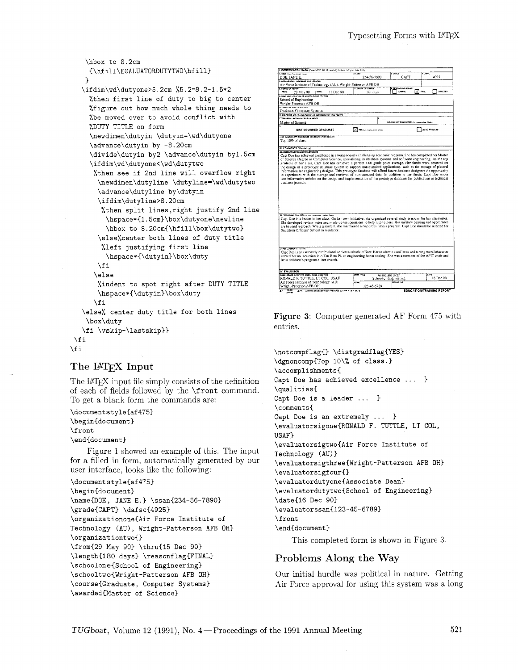```
\hbox to 8.2cm
    {\hfill\E@ALUATORDUTYTWO\hfill}
   .f 
   \ifdim\wd\dutyone>5.2cm %5.2=8.2-1.5*2 
    %then first line of duty to big to center 
    %figure out how much whole thing needs to 
    %be moved over to avoid conflict with 
    %DUTY TITLE on form 
    \newdimen\dutyin \dutyin=\wd\dutyone 
     \advance\dutyin by -8.20cm 
     \divide\dutyin by2 \advance\dutyin byl.5cm 
     \ifdim\wd\dutyone<\wd\dutytwo 
      %then see if 2nd line will overflow right 
       \newdimen\dutyline \dutyline=\wd\dutytwo 
       \advance\dutyline by\dutyin 
       \ifdim\dutyline>8.20cm 
        %then split lines,right justify 2nd line 
         \hspace*~1.5cm)\box\dutyone\newline 
         \hbox to 8.20cm(\hfill\box\dutytwo) 
       \else%center both lines of duty title 
        %left justifying first line 
         \hspace*(\dutyin)\box\duty 
       \chifi
      \else 
       %indent to spot right after DUTY TITLE 
       \hspace*(\dutyin)\box\duty 
      \chifi
   \else% center duty title for both lines 
    \box\duty 
   \f i \vskip-\lastskip)) 
\f i 
\fi
```
## **The IATFX Input**

The LAT<sub>F</sub>X input file simply consists of the definition of each of fields followed by the \front command. To get a blank form the commands are:

```
\documentstyle{af475}
\begin{document}
\front
\end{document}
```
Figure 1 showed an example of this. The input for a filled in form. automatically generated by our user interface. looks like the following:

```
\documentstyle{af475) 
\begin{document) 
\name{DOE, JANE E.} \ssan{234-56-7890}
\gradeCCAPT) \dafsc(4925) 
\organizationone(Air Force Institute of 
Technology (AU) , Wright-Patterson AFB OH} 
\organizationtwo() 
\from(29 May 90) \thru(15 Dec 90) 
\length{180 days} \reasonflag{FINAL}
\schoolone{School of Engineering) 
\schooltwo{Wright-Patterson AFB OH) 
\course(Graduate, Computer Systems) 
\awarded{Master of Science}
```

| 1. HAME (Com. Finn. Minds Patrick)                                                                                                                                                                                                                                                                                                                                                                                                                                          | 2.58AN                        | 1.08ADE                                           | 10000                   |
|-----------------------------------------------------------------------------------------------------------------------------------------------------------------------------------------------------------------------------------------------------------------------------------------------------------------------------------------------------------------------------------------------------------------------------------------------------------------------------|-------------------------------|---------------------------------------------------|-------------------------|
| DOE. JANE E.                                                                                                                                                                                                                                                                                                                                                                                                                                                                | 234-56-7890                   | CAPT                                              | 4925                    |
| 5. ORGANIZATION, COMMAND, AND LOCATION.                                                                                                                                                                                                                                                                                                                                                                                                                                     |                               |                                                   |                         |
| Air Force Institute of Technology (AU), Wright-Patterson AFB OH                                                                                                                                                                                                                                                                                                                                                                                                             |                               |                                                   |                         |
| 4. PERIOD OF REPORT<br>FROM:<br>[THRU:                                                                                                                                                                                                                                                                                                                                                                                                                                      | 7. LENGTH OF COURSE           | REASON FOR REPORT<br>M<br>ANNUAL                  | DIRECTED<br><b>POIL</b> |
| 29 May 90<br>15 Dec 90<br><b>6. NAME AND LOCATION OF SCHOOL OR WISTITUTION</b>                                                                                                                                                                                                                                                                                                                                                                                              | 180 days                      |                                                   |                         |
|                                                                                                                                                                                                                                                                                                                                                                                                                                                                             |                               |                                                   |                         |
| School of Engineering<br>Wright-Patterson AFB OH                                                                                                                                                                                                                                                                                                                                                                                                                            |                               |                                                   |                         |
| 10. HAME OR TITLE OF COURSE                                                                                                                                                                                                                                                                                                                                                                                                                                                 |                               |                                                   |                         |
| Graduate, Computer Systems                                                                                                                                                                                                                                                                                                                                                                                                                                                  |                               |                                                   |                         |
| IL REPORT DATA (Complete as applicable for final report)                                                                                                                                                                                                                                                                                                                                                                                                                    |                               |                                                   |                         |
| 1. AFSCIASHO RATIVOORGREE AWARDED                                                                                                                                                                                                                                                                                                                                                                                                                                           |                               |                                                   |                         |
| Master of Science                                                                                                                                                                                                                                                                                                                                                                                                                                                           |                               | COURSE NOT COUPLETED (f/m heave in fair # before) |                         |
| Ŧ                                                                                                                                                                                                                                                                                                                                                                                                                                                                           |                               |                                                   |                         |
| DISTINGUISHED GRADUATE                                                                                                                                                                                                                                                                                                                                                                                                                                                      | YES dark course from the time |                                                   | NO DO PROGRAM           |
|                                                                                                                                                                                                                                                                                                                                                                                                                                                                             |                               |                                                   |                         |
| 4 DO AWARD CRITERIA COURSE NONCOMPLETION REASON                                                                                                                                                                                                                                                                                                                                                                                                                             |                               |                                                   |                         |
| Top 10% of class.                                                                                                                                                                                                                                                                                                                                                                                                                                                           |                               |                                                   |                         |
| III. COMMENTS (Mandatory)                                                                                                                                                                                                                                                                                                                                                                                                                                                   |                               |                                                   |                         |
| ACADEMIC/TRAINING ACCOMPLISHMENTS                                                                                                                                                                                                                                                                                                                                                                                                                                           |                               |                                                   |                         |
| the design of a prototype database system to support non-standard applications, such as the storage of pictoral<br>information for engineering designs. This prototype database will afford future database designers the opportunity                                                                                                                                                                                                                                       |                               |                                                   |                         |
| to experiment with the storage and retrieval of non-standard data. In addition to her thesis, Capt Doe wrote<br>two informative articles on the design and implementation of the prototype database for publication in technical<br>database iournals.                                                                                                                                                                                                                      |                               |                                                   |                         |
|                                                                                                                                                                                                                                                                                                                                                                                                                                                                             |                               |                                                   |                         |
|                                                                                                                                                                                                                                                                                                                                                                                                                                                                             |                               |                                                   |                         |
|                                                                                                                                                                                                                                                                                                                                                                                                                                                                             |                               |                                                   |                         |
|                                                                                                                                                                                                                                                                                                                                                                                                                                                                             |                               |                                                   |                         |
| <b>PROFESSIONAL QUALITIES (Nearest environment conduct filmen)</b><br>Capt Doe is a leader in her class. On her own initiative, she organized several study sessions for her classmates.<br>She developed review notes and made up test questions to help tutor others. Her military bearing and appearance<br>are beyond reproach. While a student, she maintained a rigourous fitness program. Capt Doe should be selected for<br>Squadron Officers' School in residence. |                               |                                                   |                         |
| OTHER COMMENTS (ONLINE)<br>Capt Doe is an extremely professional and enthusiastic officer. Her academic excellence and strong moral character<br>earned her an induction into Tau Beta Pi, an engineering honor society. She was a member of the AFIT choir and                                                                                                                                                                                                             |                               |                                                   |                         |
| led a children's program at her church.                                                                                                                                                                                                                                                                                                                                                                                                                                     |                               |                                                   |                         |
|                                                                                                                                                                                                                                                                                                                                                                                                                                                                             |                               |                                                   |                         |
|                                                                                                                                                                                                                                                                                                                                                                                                                                                                             | <b>DUTY TITLE</b>             | Associate Dean                                    | OATE                    |
| IV. EVALUATOR<br>HANE, GRADE, BR OF SVC, ORGN, COND, LOCATION<br>RONALD F. TUTTLE, LT COL. USAF                                                                                                                                                                                                                                                                                                                                                                             |                               | School of Engineering                             | 16 Dec 90               |
| Air Force Institute of Technology (AU)<br>Wright-Patterson AFB OH                                                                                                                                                                                                                                                                                                                                                                                                           | 8848<br>123-45-6789           | <b>SIGNATURE</b>                                  |                         |

Figure **3:** Computer generated AF Form 475 with entries.

```
\notcompflag() \distgradflag(YES) 
\dgnoncomp(Top lo\% of class. 
\accomplishments{
Capt Doe has achieved excellence ... }
\qualities( 
Capt Doe is a leader ... 1 
\comments( 
Capt Doe is an extremely ... }
\evaluatorsigone{RONALD F. TUTTLE, LT COL, 
USAF) 
\evaluatorsigtwo{Air Force Institute of
Technology (AU)) 
\evaluatorsigthree(Wright-Patterson AFB OH) 
\evaluatorsigfour~) 
\evaluatordutyone(Associate Dean) 
\evaluatordutytwo(School of Engineering) 
\date(16 Dec 903 
\evaluatorssan~123-45-6789) 
\front 
\end(document)
```
This completed form is shown in Figure 3.

### **Problems Along the Way**

Our initial hurdle was political in nature. Getting Air Force approval for using this system was a long